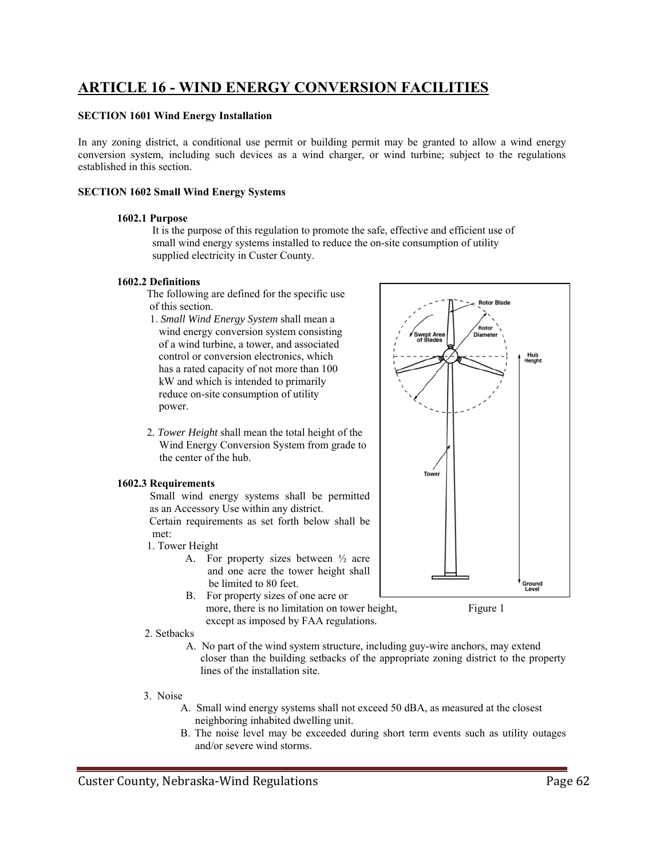# **ARTICLE 16 - WIND ENERGY CONVERSION FACILITIES**

# **SECTION 1601 Wind Energy Installation**

In any zoning district, a conditional use permit or building permit may be granted to allow a wind energy conversion system, including such devices as a wind charger, or wind turbine; subject to the regulations established in this section.

# **SECTION 1602 Small Wind Energy Systems**

# **1602.1 Purpose**

It is the purpose of this regulation to promote the safe, effective and efficient use of small wind energy systems installed to reduce the on-site consumption of utility supplied electricity in Custer County.

# **1602.2 Definitions**

 The following are defined for the specific use of this section.

- 1. *Small Wind Energy System* shall mean a wind energy conversion system consisting of a wind turbine, a tower, and associated control or conversion electronics, which has a rated capacity of not more than 100 kW and which is intended to primarily reduce on-site consumption of utility power.
- 2*. Tower Height* shall mean the total height of the Wind Energy Conversion System from grade to the center of the hub.

# **1602.3 Requirements**

 Small wind energy systems shall be permitted as an Accessory Use within any district. Certain requirements as set forth below shall be met:

- 1. Tower Height
	- A. For property sizes between ½ acre and one acre the tower height shall be limited to 80 feet.
	- B. For property sizes of one acre or more, there is no limitation on tower height, Figure 1 except as imposed by FAA regulations.

# 2. Setbacks

- A. No part of the wind system structure, including guy-wire anchors, may extend closer than the building setbacks of the appropriate zoning district to the property lines of the installation site.
- 3. Noise
	- A. Small wind energy systems shall not exceed 50 dBA, as measured at the closest neighboring inhabited dwelling unit.
	- B. The noise level may be exceeded during short term events such as utility outages and/or severe wind storms.

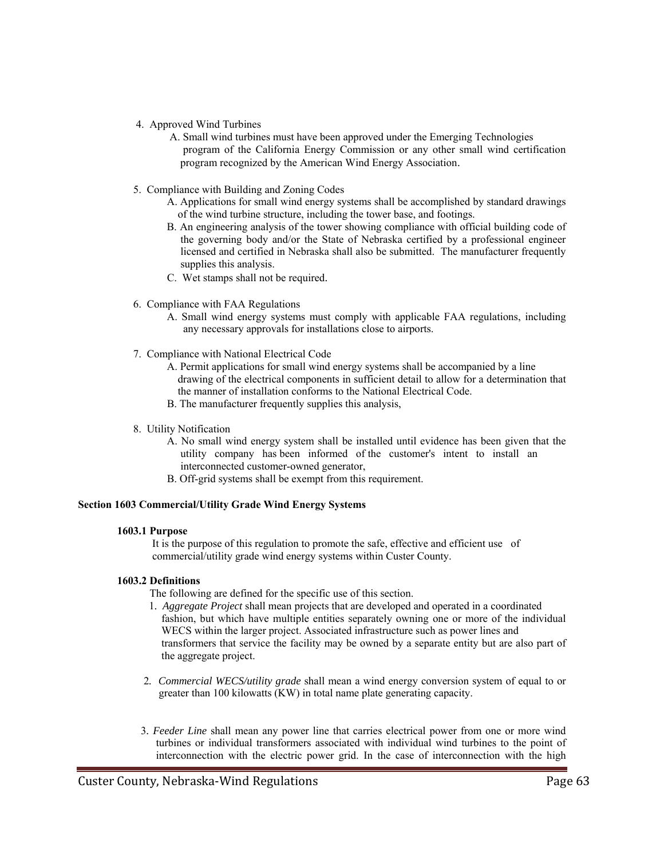- 4. Approved Wind Turbines
	- A. Small wind turbines must have been approved under the Emerging Technologies program of the California Energy Commission or any other small wind certification program recognized by the American Wind Energy Association.
- 5. Compliance with Building and Zoning Codes
	- A. Applications for small wind energy systems shall be accomplished by standard drawings of the wind turbine structure, including the tower base, and footings.
	- B. An engineering analysis of the tower showing compliance with official building code of the governing body and/or the State of Nebraska certified by a professional engineer licensed and certified in Nebraska shall also be submitted. The manufacturer frequently supplies this analysis.
	- C. Wet stamps shall not be required.
- 6. Compliance with FAA Regulations
	- A. Small wind energy systems must comply with applicable FAA regulations, including any necessary approvals for installations close to airports.
- 7. Compliance with National Electrical Code
	- A. Permit applications for small wind energy systems shall be accompanied by a line drawing of the electrical components in sufficient detail to allow for a determination that the manner of installation conforms to the National Electrical Code.
	- B. The manufacturer frequently supplies this analysis,
- 8. Utility Notification
	- A. No small wind energy system shall be installed until evidence has been given that the utility company has been informed of the customer's intent to install an interconnected customer-owned generator,
	- B. Off-grid systems shall be exempt from this requirement.

# **Section 1603 Commercial/Utility Grade Wind Energy Systems**

# **1603.1 Purpose**

 It is the purpose of this regulation to promote the safe, effective and efficient use of commercial/utility grade wind energy systems within Custer County.

# **1603.2 Definitions**

The following are defined for the specific use of this section.

- 1*. Aggregate Project* shall mean projects that are developed and operated in a coordinated fashion, but which have multiple entities separately owning one or more of the individual WECS within the larger project. Associated infrastructure such as power lines and transformers that service the facility may be owned by a separate entity but are also part of the aggregate project.
- 2*. Commercial WECS/utility grade* shall mean a wind energy conversion system of equal to or greater than 100 kilowatts (KW) in total name plate generating capacity.
- 3*. Feeder Line* shall mean any power line that carries electrical power from one or more wind turbines or individual transformers associated with individual wind turbines to the point of interconnection with the electric power grid. In the case of interconnection with the high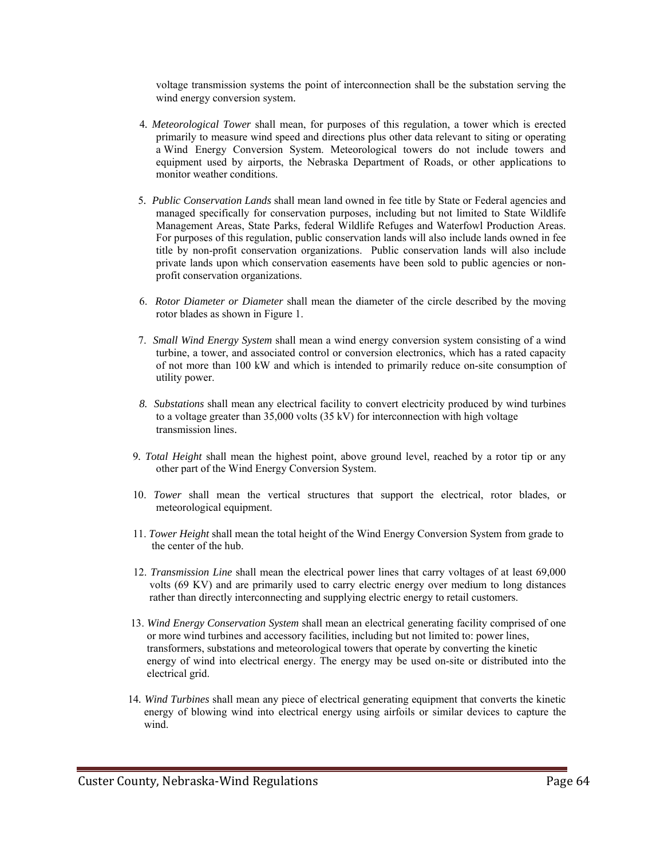voltage transmission systems the point of interconnection shall be the substation serving the wind energy conversion system.

- 4*. Meteorological Tower* shall mean, for purposes of this regulation, a tower which is erected primarily to measure wind speed and directions plus other data relevant to siting or operating a Wind Energy Conversion System. Meteorological towers do not include towers and equipment used by airports, the Nebraska Department of Roads, or other applications to monitor weather conditions.
- 5*. Public Conservation Lands* shall mean land owned in fee title by State or Federal agencies and managed specifically for conservation purposes, including but not limited to State Wildlife Management Areas, State Parks, federal Wildlife Refuges and Waterfowl Production Areas. For purposes of this regulation, public conservation lands will also include lands owned in fee title by non-profit conservation organizations. Public conservation lands will also include private lands upon which conservation easements have been sold to public agencies or non profit conservation organizations.
- 6. *Rotor Diameter or Diameter* shall mean the diameter of the circle described by the moving rotor blades as shown in Figure 1.
- 7. *Small Wind Energy System* shall mean a wind energy conversion system consisting of a wind turbine, a tower, and associated control or conversion electronics, which has a rated capacity of not more than 100 kW and which is intended to primarily reduce on-site consumption of utility power.
- *8. Substations* shall mean any electrical facility to convert electricity produced by wind turbines to a voltage greater than 35,000 volts (35 kV) for interconnection with high voltage transmission lines.
- 9*. Total Height* shall mean the highest point, above ground level, reached by a rotor tip or any other part of the Wind Energy Conversion System.
- 10. *Tower* shall mean the vertical structures that support the electrical, rotor blades, or meteorological equipment.
- 11. *Tower Height* shall mean the total height of the Wind Energy Conversion System from grade to the center of the hub.
- 12. *Transmission Line* shall mean the electrical power lines that carry voltages of at least 69,000 volts (69 KV) and are primarily used to carry electric energy over medium to long distances rather than directly interconnecting and supplying electric energy to retail customers.
- 13. *Wind Energy Conservation System* shall mean an electrical generating facility comprised of one or more wind turbines and accessory facilities, including but not limited to: power lines, transformers, substations and meteorological towers that operate by converting the kinetic energy of wind into electrical energy. The energy may be used on-site or distributed into the electrical grid.
- 14*. Wind Turbines* shall mean any piece of electrical generating equipment that converts the kinetic energy of blowing wind into electrical energy using airfoils or similar devices to capture the wind.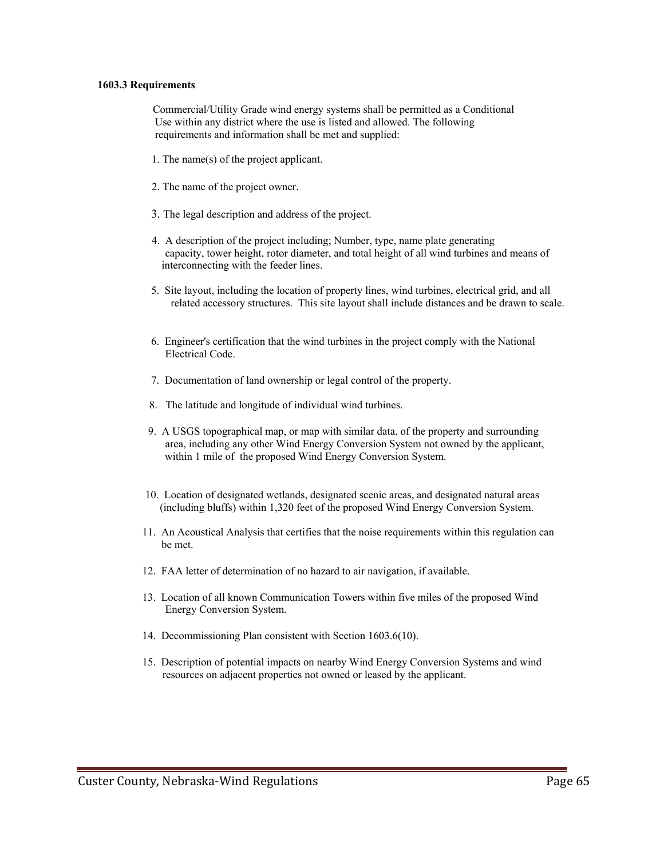#### **1603.3 Requirements**

 Commercial/Utility Grade wind energy systems shall be permitted as a Conditional Use within any district where the use is listed and allowed. The following requirements and information shall be met and supplied:

- 1. The name(s) of the project applicant.
- 2. The name of the project owner.
- 3. The legal description and address of the project.
- 4. A description of the project including; Number, type, name plate generating capacity, tower height, rotor diameter, and total height of all wind turbines and means of interconnecting with the feeder lines.
- 5. Site layout, including the location of property lines, wind turbines, electrical grid, and all related accessory structures. This site layout shall include distances and be drawn to scale.
- 6. Engineer's certification that the wind turbines in the project comply with the National Electrical Code.
- 7. Documentation of land ownership or legal control of the property.
- 8. The latitude and longitude of individual wind turbines.
- 9. A USGS topographical map, or map with similar data, of the property and surrounding area, including any other Wind Energy Conversion System not owned by the applicant, within 1 mile of the proposed Wind Energy Conversion System.
- 10. Location of designated wetlands, designated scenic areas, and designated natural areas (including bluffs) within 1,320 feet of the proposed Wind Energy Conversion System.
- 11. An Acoustical Analysis that certifies that the noise requirements within this regulation can be met.
- 12. FAA letter of determination of no hazard to air navigation, if available.
- 13. Location of all known Communication Towers within five miles of the proposed Wind Energy Conversion System.
- 14. Decommissioning Plan consistent with Section 1603.6(10).
- 15. Description of potential impacts on nearby Wind Energy Conversion Systems and wind resources on adjacent properties not owned or leased by the applicant.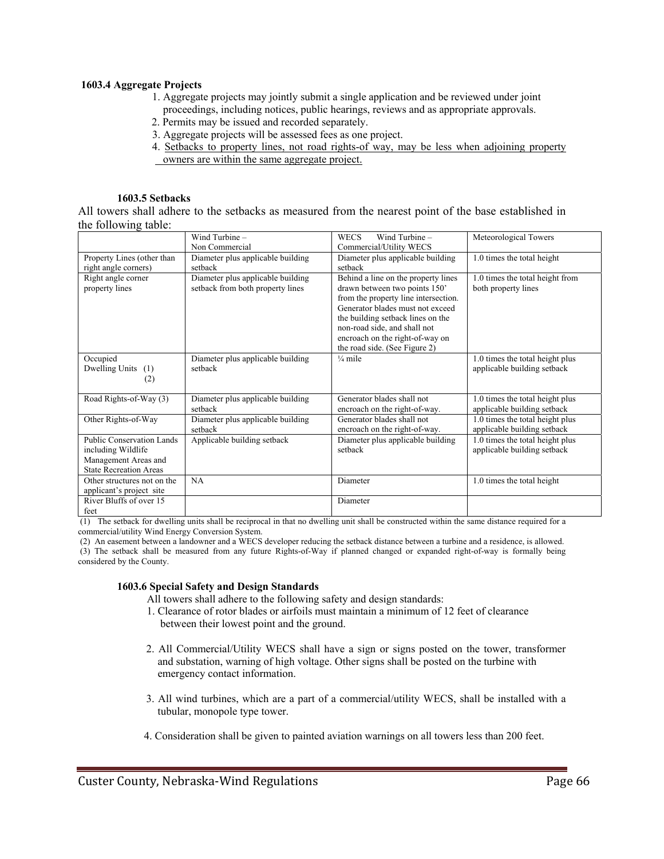# **1603.4 Aggregate Projects**

- 1. Aggregate projects may jointly submit a single application and be reviewed under joint proceedings, including notices, public hearings, reviews and as appropriate approvals.
- 2. Permits may be issued and recorded separately.
- 3. Aggregate projects will be assessed fees as one project.
- 4. Setbacks to property lines, not road rights-of way, may be less when adjoining property owners are within the same aggregate project.

# **1603.5 Setbacks**

All towers shall adhere to the setbacks as measured from the nearest point of the base established in the following table:

|                               | Wind Turbine $-$                  | Wind Turbine $-$<br><b>WECS</b>      | Meteorological Towers           |
|-------------------------------|-----------------------------------|--------------------------------------|---------------------------------|
|                               | Non Commercial                    | Commercial/Utility WECS              |                                 |
| Property Lines (other than    | Diameter plus applicable building | Diameter plus applicable building    | 1.0 times the total height      |
| right angle corners)          | setback                           | setback                              |                                 |
| Right angle corner            | Diameter plus applicable building | Behind a line on the property lines  | 1.0 times the total height from |
| property lines                | setback from both property lines  | drawn between two points 150'        | both property lines             |
|                               |                                   | from the property line intersection. |                                 |
|                               |                                   | Generator blades must not exceed     |                                 |
|                               |                                   | the building setback lines on the    |                                 |
|                               |                                   | non-road side, and shall not         |                                 |
|                               |                                   | encroach on the right-of-way on      |                                 |
|                               |                                   | the road side. (See Figure 2)        |                                 |
| Occupied                      | Diameter plus applicable building | $\frac{1}{4}$ mile                   | 1.0 times the total height plus |
| Dwelling Units<br>(1)         | setback                           |                                      | applicable building setback     |
| (2)                           |                                   |                                      |                                 |
|                               |                                   |                                      |                                 |
| Road Rights-of-Way (3)        | Diameter plus applicable building | Generator blades shall not           | 1.0 times the total height plus |
|                               | setback                           | encroach on the right-of-way.        | applicable building setback     |
| Other Rights-of-Way           | Diameter plus applicable building | Generator blades shall not           | 1.0 times the total height plus |
|                               | setback                           | encroach on the right-of-way.        | applicable building setback     |
| Public Conservation Lands     | Applicable building setback       | Diameter plus applicable building    | 1.0 times the total height plus |
| including Wildlife            |                                   | setback                              | applicable building setback     |
| Management Areas and          |                                   |                                      |                                 |
| <b>State Recreation Areas</b> |                                   |                                      |                                 |
| Other structures not on the   | <b>NA</b>                         | Diameter                             | 1.0 times the total height      |
| applicant's project site      |                                   |                                      |                                 |
| River Bluffs of over 15       |                                   | Diameter                             |                                 |
| feet                          |                                   |                                      |                                 |

 (1) The setback for dwelling units shall be reciprocal in that no dwelling unit shall be constructed within the same distance required for a commercial/utility Wind Energy Conversion System.

 (2) An easement between a landowner and a WECS developer reducing the setback distance between a turbine and a residence, is allowed. (3) The setback shall be measured from any future Rights-of-Way if planned changed or expanded right-of-way is formally being considered by the County.

# **1603.6 Special Safety and Design Standards**

All towers shall adhere to the following safety and design standards:

- 1. Clearance of rotor blades or airfoils must maintain a minimum of 12 feet of clearance between their lowest point and the ground.
- 2. All Commercial/Utility WECS shall have a sign or signs posted on the tower, transformer and substation, warning of high voltage. Other signs shall be posted on the turbine with emergency contact information.
- 3. All wind turbines, which are a part of a commercial/utility WECS, shall be installed with a tubular, monopole type tower.
- 4. Consideration shall be given to painted aviation warnings on all towers less than 200 feet.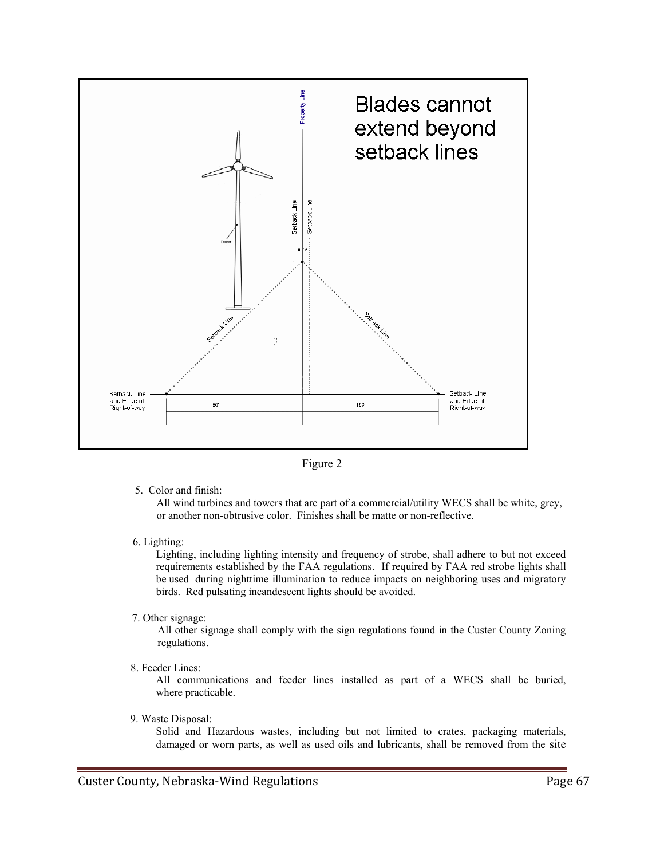



5. Color and finish:

 All wind turbines and towers that are part of a commercial/utility WECS shall be white, grey, or another non-obtrusive color. Finishes shall be matte or non-reflective.

6. Lighting:

 Lighting, including lighting intensity and frequency of strobe, shall adhere to but not exceed requirements established by the FAA regulations. If required by FAA red strobe lights shall be used during nighttime illumination to reduce impacts on neighboring uses and migratory birds. Red pulsating incandescent lights should be avoided.

7. Other signage:

 All other signage shall comply with the sign regulations found in the Custer County Zoning regulations.

8. Feeder Lines:

 All communications and feeder lines installed as part of a WECS shall be buried, where practicable.

9. Waste Disposal:

 Solid and Hazardous wastes, including but not limited to crates, packaging materials, damaged or worn parts, as well as used oils and lubricants, shall be removed from the site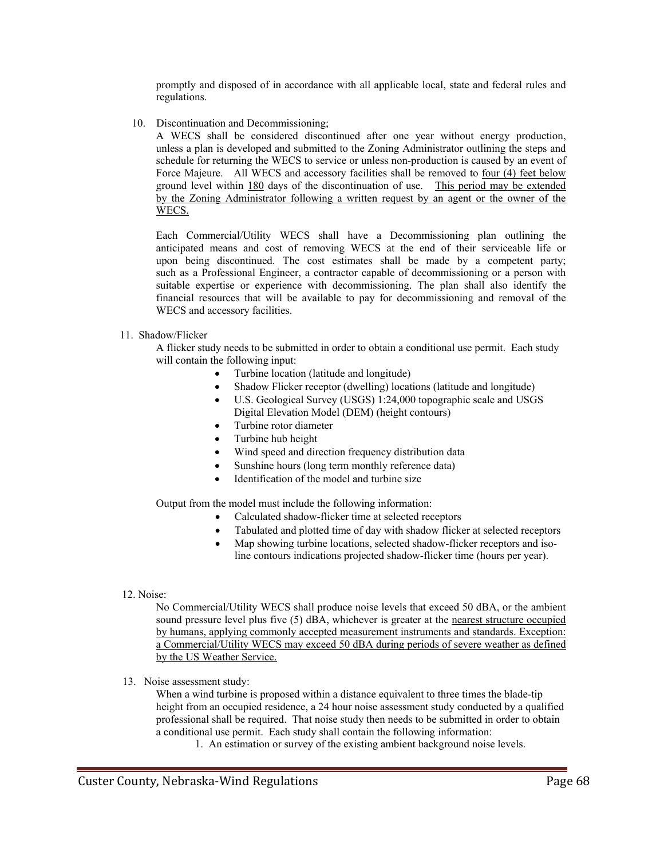promptly and disposed of in accordance with all applicable local, state and federal rules and regulations.

10. Discontinuation and Decommissioning;

 A WECS shall be considered discontinued after one year without energy production, unless a plan is developed and submitted to the Zoning Administrator outlining the steps and schedule for returning the WECS to service or unless non-production is caused by an event of Force Majeure. All WECS and accessory facilities shall be removed to <u>four (4) feet below</u> ground level within 180 days of the discontinuation of use. This period may be extended by the Zoning Administrator following a written request by an agent or the owner of the WECS.

Each Commercial/Utility WECS shall have a Decommissioning plan outlining the anticipated means and cost of removing WECS at the end of their serviceable life or upon being discontinued. The cost estimates shall be made by a competent party; such as a Professional Engineer, a contractor capable of decommissioning or a person with suitable expertise or experience with decommissioning. The plan shall also identify the financial resources that will be available to pay for decommissioning and removal of the WECS and accessory facilities.

# 11. Shadow/Flicker

 A flicker study needs to be submitted in order to obtain a conditional use permit. Each study will contain the following input:

- Turbine location (latitude and longitude)
- Shadow Flicker receptor (dwelling) locations (latitude and longitude)
- U.S. Geological Survey (USGS) 1:24,000 topographic scale and USGS Digital Elevation Model (DEM) (height contours)
- Turbine rotor diameter
- Turbine hub height
- Wind speed and direction frequency distribution data
- Sunshine hours (long term monthly reference data)
- Identification of the model and turbine size

Output from the model must include the following information:

- Calculated shadow-flicker time at selected receptors
- Tabulated and plotted time of day with shadow flicker at selected receptors
- Map showing turbine locations, selected shadow-flicker receptors and isoline contours indications projected shadow-flicker time (hours per year).

# 12. Noise:

 No Commercial/Utility WECS shall produce noise levels that exceed 50 dBA, or the ambient sound pressure level plus five (5) dBA, whichever is greater at the nearest structure occupied by humans, applying commonly accepted measurement instruments and standards. Exception: a Commercial/Utility WECS may exceed 50 dBA during periods of severe weather as defined by the US Weather Service.

13. Noise assessment study:

 When a wind turbine is proposed within a distance equivalent to three times the blade-tip height from an occupied residence, a 24 hour noise assessment study conducted by a qualified professional shall be required. That noise study then needs to be submitted in order to obtain a conditional use permit. Each study shall contain the following information:

1. An estimation or survey of the existing ambient background noise levels.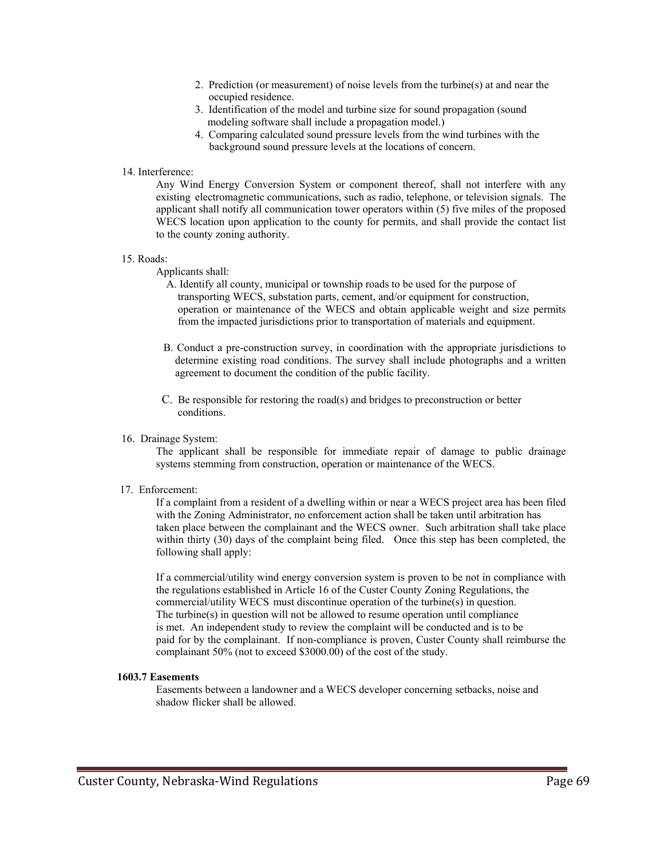- 2. Prediction (or measurement) of noise levels from the turbine(s) at and near the occupied residence.
- 3. Identification of the model and turbine size for sound propagation (sound modeling software shall include a propagation model.)
- 4. Comparing calculated sound pressure levels from the wind turbines with the background sound pressure levels at the locations of concern.

#### 14. Interference:

 Any Wind Energy Conversion System or component thereof, shall not interfere with any existing electromagnetic communications, such as radio, telephone, or television signals. The applicant shall notify all communication tower operators within (5) five miles of the proposed WECS location upon application to the county for permits, and shall provide the contact list to the county zoning authority.

#### 15. Roads:

Applicants shall:

- A. Identify all county, municipal or township roads to be used for the purpose of transporting WECS, substation parts, cement, and/or equipment for construction, operation or maintenance of the WECS and obtain applicable weight and size permits from the impacted jurisdictions prior to transportation of materials and equipment.
- B. Conduct a pre-construction survey, in coordination with the appropriate jurisdictions to determine existing road conditions. The survey shall include photographs and a written agreement to document the condition of the public facility.
- C. Be responsible for restoring the road(s) and bridges to preconstruction or better conditions.

# 16. Drainage System:

 The applicant shall be responsible for immediate repair of damage to public drainage systems stemming from construction, operation or maintenance of the WECS.

# 17. Enforcement:

 If a complaint from a resident of a dwelling within or near a WECS project area has been filed with the Zoning Administrator, no enforcement action shall be taken until arbitration has taken place between the complainant and the WECS owner. Such arbitration shall take place within thirty (30) days of the complaint being filed. Once this step has been completed, the following shall apply:

 If a commercial/utility wind energy conversion system is proven to be not in compliance with the regulations established in Article 16 of the Custer County Zoning Regulations, the commercial/utility WECS must discontinue operation of the turbine(s) in question. The turbine(s) in question will not be allowed to resume operation until compliance is met. An independent study to review the complaint will be conducted and is to be paid for by the complainant. If non-compliance is proven, Custer County shall reimburse the complainant 50% (not to exceed \$3000.00) of the cost of the study.

#### **1603.7 Easements**

Easements between a landowner and a WECS developer concerning setbacks, noise and shadow flicker shall be allowed.